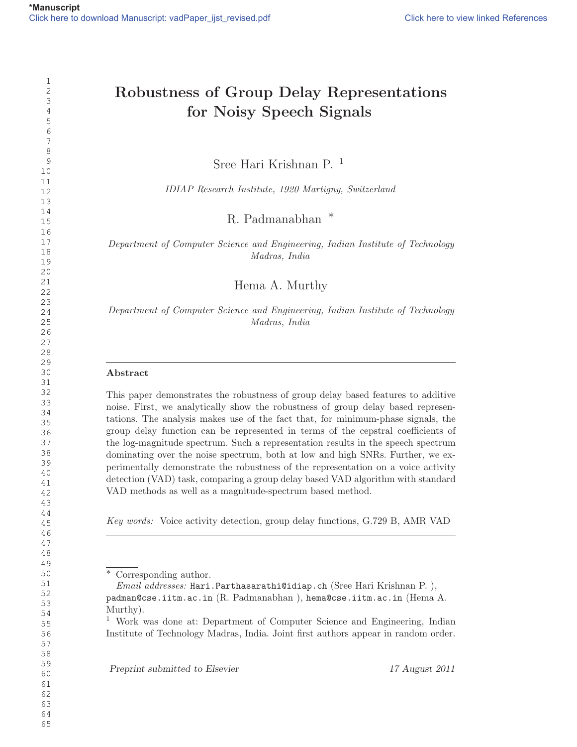# Robustness of Group Delay Representations for Noisy Speech Signals

Sree Hari Krishnan P. <sup>1</sup>

IDIAP Research Institute, 1920 Martigny, Switzerland

R. Padmanabhan ∗

Department of Computer Science and Engineering, Indian Institute of Technology Madras, India

Hema A. Murthy

Department of Computer Science and Engineering, Indian Institute of Technology Madras, India

## Abstract

This paper demonstrates the robustness of group delay based features to additive noise. First, we analytically show the robustness of group delay based representations. The analysis makes use of the fact that, for minimum-phase signals, the group delay function can be represented in terms of the cepstral coefficients of the log-magnitude spectrum. Such a representation results in the speech spectrum dominating over the noise spectrum, both at low and high SNRs. Further, we experimentally demonstrate the robustness of the representation on a voice activity detection (VAD) task, comparing a group delay based VAD algorithm with standard VAD methods as well as a magnitude-spectrum based method.

Key words: Voice activity detection, group delay functions, G.729 B, AMR VAD

Preprint submitted to Elsevier 17 August 2011

Corresponding author.

Email addresses: Hari.Parthasarathi@idiap.ch (Sree Hari Krishnan P. ), padman@cse.iitm.ac.in (R. Padmanabhan ), hema@cse.iitm.ac.in (Hema A. Murthy).

 Work was done at: Department of Computer Science and Engineering, Indian Institute of Technology Madras, India. Joint first authors appear in random order.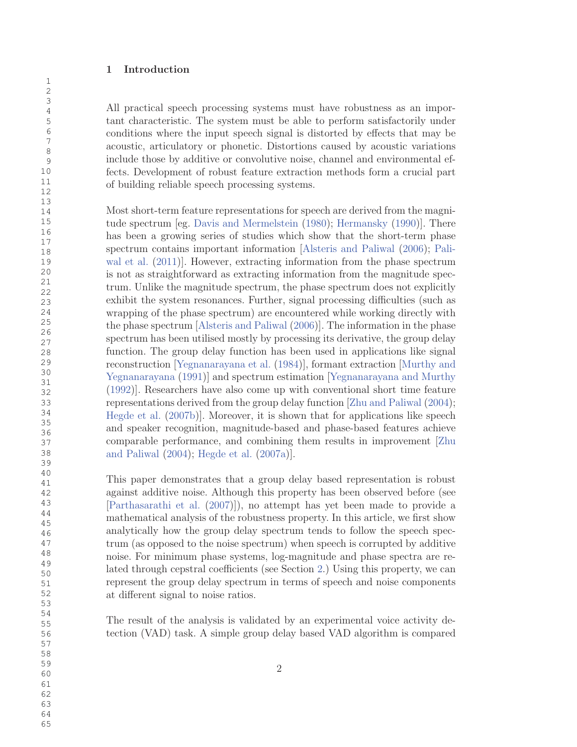# 1 Introduction

All practical speech processing systems must have robustness as an important characteristic. The system must be able to perform satisfactorily under conditions where the input speech signal is distorted by effects that may be acoustic, articulatory or phonetic. Distortions caused by acoustic variations include those by additive or convolutive noise, channel and environmental effects. Development of robust feature extraction methods form a crucial part of building reliable speech processing systems.

Most short-term feature representations for speech are derived from the magnitude spectrum [eg. Davis and Mermelstein (1980); Hermansky (1990)]. There has been a growing series of studies which show that the short-term phase spectrum contains important information [Alsteris and Paliwal (2006); Paliwal et al. (2011)]. However, extracting information from the phase spectrum is not as straightforward as extracting information from the magnitude spectrum. Unlike the magnitude spectrum, the phase spectrum does not explicitly exhibit the system resonances. Further, signal processing difficulties (such as wrapping of the phase spectrum) are encountered while working directly with the phase spectrum [Alsteris and Paliwal (2006)]. The information in the phase spectrum has been utilised mostly by processing its derivative, the group delay function. The group delay function has been used in applications like signal reconstruction [Yegnanarayana et al. (1984)], formant extraction [Murthy and Yegnanarayana (1991)] and spectrum estimation [Yegnanarayana and Murthy (1992)]. Researchers have also come up with conventional short time feature representations derived from the group delay function [Zhu and Paliwal (2004); Hegde et al. (2007b)]. Moreover, it is shown that for applications like speech and speaker recognition, magnitude-based and phase-based features achieve comparable performance, and combining them results in improvement [Zhu and Paliwal (2004); Hegde et al. (2007a)].

This paper demonstrates that a group delay based representation is robust against additive noise. Although this property has been observed before (see [Parthasarathi et al. (2007)]), no attempt has yet been made to provide a mathematical analysis of the robustness property. In this article, we first show analytically how the group delay spectrum tends to follow the speech spectrum (as opposed to the noise spectrum) when speech is corrupted by additive noise. For minimum phase systems, log-magnitude and phase spectra are related through cepstral coefficients (see Section 2.) Using this property, we can represent the group delay spectrum in terms of speech and noise components at different signal to noise ratios.

The result of the analysis is validated by an experimental voice activity detection (VAD) task. A simple group delay based VAD algorithm is compared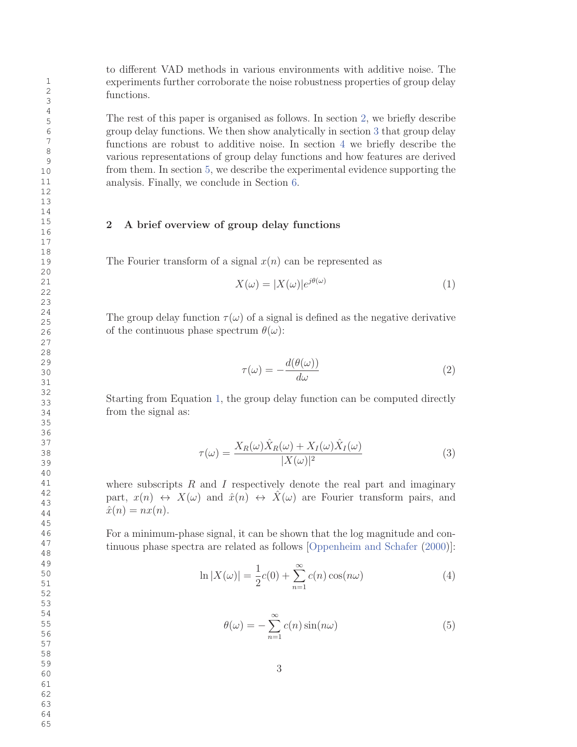to different VAD methods in various environments with additive noise. The experiments further corroborate the noise robustness properties of group delay functions.

The rest of this paper is organised as follows. In section 2, we briefly describe group delay functions. We then show analytically in section 3 that group delay functions are robust to additive noise. In section 4 we briefly describe the various representations of group delay functions and how features are derived from them. In section 5, we describe the experimental evidence supporting the analysis. Finally, we conclude in Section 6.

# 2 A brief overview of group delay functions

The Fourier transform of a signal  $x(n)$  can be represented as

$$
X(\omega) = |X(\omega)|e^{j\theta(\omega)}\tag{1}
$$

The group delay function  $\tau(\omega)$  of a signal is defined as the negative derivative of the continuous phase spectrum  $\theta(\omega)$ :

$$
\tau(\omega) = -\frac{d(\theta(\omega))}{d\omega} \tag{2}
$$

Starting from Equation 1, the group delay function can be computed directly from the signal as:

$$
\tau(\omega) = \frac{X_R(\omega)\hat{X}_R(\omega) + X_I(\omega)\hat{X}_I(\omega)}{|X(\omega)|^2}
$$
\n(3)

where subscripts  $R$  and  $I$  respectively denote the real part and imaginary part,  $x(n) \leftrightarrow X(\omega)$  and  $\hat{x}(n) \leftrightarrow \hat{X}(\omega)$  are Fourier transform pairs, and  $\hat{x}(n) = nx(n).$ 

For a minimum-phase signal, it can be shown that the log magnitude and continuous phase spectra are related as follows [Oppenheim and Schafer (2000)]:

$$
\ln|X(\omega)| = \frac{1}{2}c(0) + \sum_{n=1}^{\infty}c(n)\cos(n\omega)
$$
\n(4)

$$
\theta(\omega) = -\sum_{n=1}^{\infty} c(n) \sin(n\omega)
$$
 (5)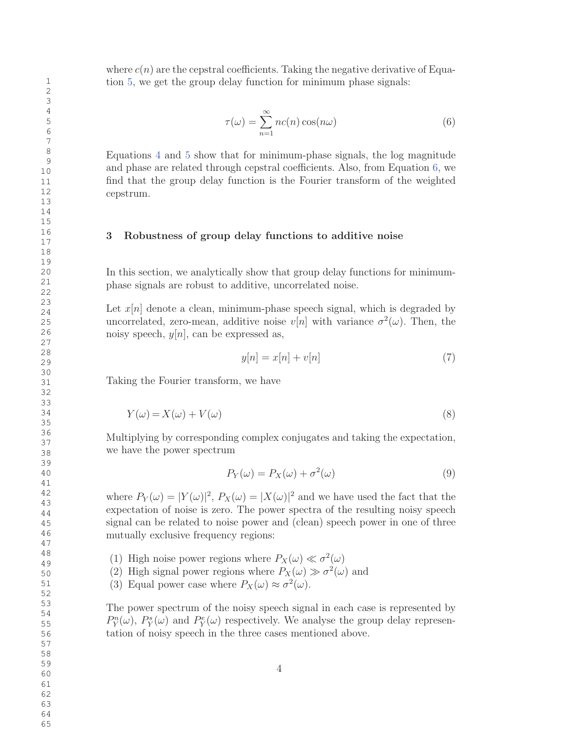where  $c(n)$  are the cepstral coefficients. Taking the negative derivative of Equation 5, we get the group delay function for minimum phase signals:

$$
\tau(\omega) = \sum_{n=1}^{\infty} nc(n) \cos(n\omega)
$$
 (6)

Equations 4 and 5 show that for minimum-phase signals, the log magnitude and phase are related through cepstral coefficients. Also, from Equation 6, we find that the group delay function is the Fourier transform of the weighted cepstrum.

#### 3 Robustness of group delay functions to additive noise

In this section, we analytically show that group delay functions for minimumphase signals are robust to additive, uncorrelated noise.

Let  $x[n]$  denote a clean, minimum-phase speech signal, which is degraded by uncorrelated, zero-mean, additive noise  $v[n]$  with variance  $\sigma^2(\omega)$ . Then, the noisy speech,  $y[n]$ , can be expressed as,

$$
y[n] = x[n] + v[n] \tag{7}
$$

Taking the Fourier transform, we have

$$
Y(\omega) = X(\omega) + V(\omega)
$$
\n(8)

Multiplying by corresponding complex conjugates and taking the expectation, we have the power spectrum

$$
P_Y(\omega) = P_X(\omega) + \sigma^2(\omega)
$$
\n(9)

where  $P_Y(\omega) = |Y(\omega)|^2$ ,  $P_X(\omega) = |X(\omega)|^2$  and we have used the fact that the expectation of noise is zero. The power spectra of the resulting noisy speech signal can be related to noise power and (clean) speech power in one of three mutually exclusive frequency regions:

- (1) High noise power regions where  $P_X(\omega) \ll \sigma^2(\omega)$
- (2) High signal power regions where  $P_X(\omega) \gg \sigma^2(\omega)$  and
- (3) Equal power case where  $P_X(\omega) \approx \sigma^2(\omega)$ .

The power spectrum of the noisy speech signal in each case is represented by  $P_Y^n(\omega)$ ,  $P_Y^s(\omega)$  and  $P_Y^e(\omega)$  respectively. We analyse the group delay representation of noisy speech in the three cases mentioned above.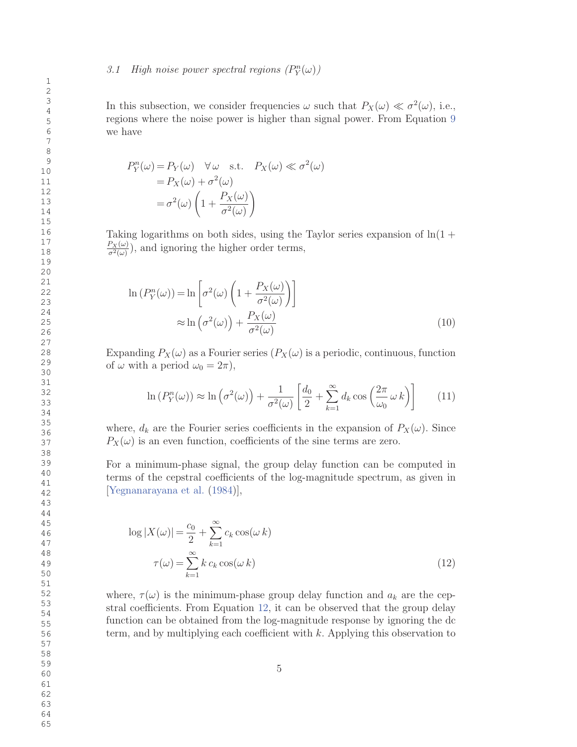In this subsection, we consider frequencies  $\omega$  such that  $P_X(\omega) \ll \sigma^2(\omega)$ , i.e., regions where the noise power is higher than signal power. From Equation 9 we have

$$
P_Y^n(\omega) = P_Y(\omega) \quad \forall \omega \quad \text{s.t.} \quad P_X(\omega) \ll \sigma^2(\omega)
$$

$$
= P_X(\omega) + \sigma^2(\omega)
$$

$$
= \sigma^2(\omega) \left(1 + \frac{P_X(\omega)}{\sigma^2(\omega)}\right)
$$

Taking logarithms on both sides, using the Taylor series expansion of  $\ln(1 +$  $\frac{P_X(\omega)}{\sigma^2(\omega)}$ , and ignoring the higher order terms,

$$
\ln (P_Y^n(\omega)) = \ln \left[ \sigma^2(\omega) \left( 1 + \frac{P_X(\omega)}{\sigma^2(\omega)} \right) \right]
$$
  

$$
\approx \ln \left( \sigma^2(\omega) \right) + \frac{P_X(\omega)}{\sigma^2(\omega)}
$$
 (10)

Expanding  $P_X(\omega)$  as a Fourier series  $(P_X(\omega))$  is a periodic, continuous, function of  $\omega$  with a period  $\omega_0 = 2\pi$ ),

$$
\ln(P_Y^n(\omega)) \approx \ln\left(\sigma^2(\omega)\right) + \frac{1}{\sigma^2(\omega)} \left[ \frac{d_0}{2} + \sum_{k=1}^{\infty} d_k \cos\left(\frac{2\pi}{\omega_0} \omega k\right) \right] \tag{11}
$$

where,  $d_k$  are the Fourier series coefficients in the expansion of  $P_X(\omega)$ . Since  $P_X(\omega)$  is an even function, coefficients of the sine terms are zero.

For a minimum-phase signal, the group delay function can be computed in terms of the cepstral coefficients of the log-magnitude spectrum, as given in [Yegnanarayana et al. (1984)],

$$
\log |X(\omega)| = \frac{c_0}{2} + \sum_{k=1}^{\infty} c_k \cos(\omega k)
$$

$$
\tau(\omega) = \sum_{k=1}^{\infty} k c_k \cos(\omega k)
$$
(12)

where,  $\tau(\omega)$  is the minimum-phase group delay function and  $a_k$  are the cepstral coefficients. From Equation 12, it can be observed that the group delay function can be obtained from the log-magnitude response by ignoring the dc term, and by multiplying each coefficient with k. Applying this observation to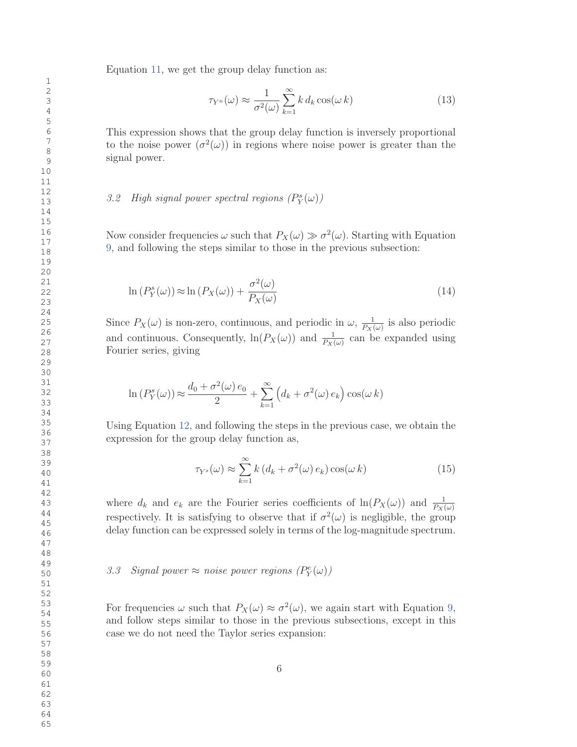Equation 11, we get the group delay function as:

$$
\tau_{Y^n}(\omega) \approx \frac{1}{\sigma^2(\omega)} \sum_{k=1}^{\infty} k \, d_k \cos(\omega \, k) \tag{13}
$$

This expression shows that the group delay function is inversely proportional to the noise power  $(\sigma^2(\omega))$  in regions where noise power is greater than the signal power.

# 3.2 High signal power spectral regions  $(P_Y^s(\omega))$

Now consider frequencies  $\omega$  such that  $P_X(\omega) \gg \sigma^2(\omega)$ . Starting with Equation 9, and following the steps similar to those in the previous subsection:

$$
\ln \left( P_Y^s(\omega) \right) \approx \ln \left( P_X(\omega) \right) + \frac{\sigma^2(\omega)}{P_X(\omega)} \tag{14}
$$

Since  $P_X(\omega)$  is non-zero, continuous, and periodic in  $\omega$ ,  $\frac{1}{P_{XY}}$  $\frac{1}{P_X(\omega)}$  is also periodic and continuous. Consequently,  $\ln(P_X(\omega))$  and  $\frac{1}{P_X(\omega)}$  can be expanded using Fourier series, giving

$$
\ln(P_Y^s(\omega)) \approx \frac{d_0 + \sigma^2(\omega) e_0}{2} + \sum_{k=1}^{\infty} \left( d_k + \sigma^2(\omega) e_k \right) \cos(\omega k)
$$

Using Equation 12, and following the steps in the previous case, we obtain the expression for the group delay function as,

$$
\tau_{Y^s}(\omega) \approx \sum_{k=1}^{\infty} k (d_k + \sigma^2(\omega) e_k) \cos(\omega k)
$$
 (15)

where  $d_k$  and  $e_k$  are the Fourier series coefficients of  $\ln(P_X(\omega))$  and  $\frac{1}{P_X(\omega)}$ respectively. It is satisfying to observe that if  $\sigma^2(\omega)$  is negligible, the group delay function can be expressed solely in terms of the log-magnitude spectrum.

# 3.3 Signal power  $\approx$  noise power regions  $(P_Y^e(\omega))$

For frequencies  $\omega$  such that  $P_X(\omega) \approx \sigma^2(\omega)$ , we again start with Equation 9, and follow steps similar to those in the previous subsections, except in this case we do not need the Taylor series expansion: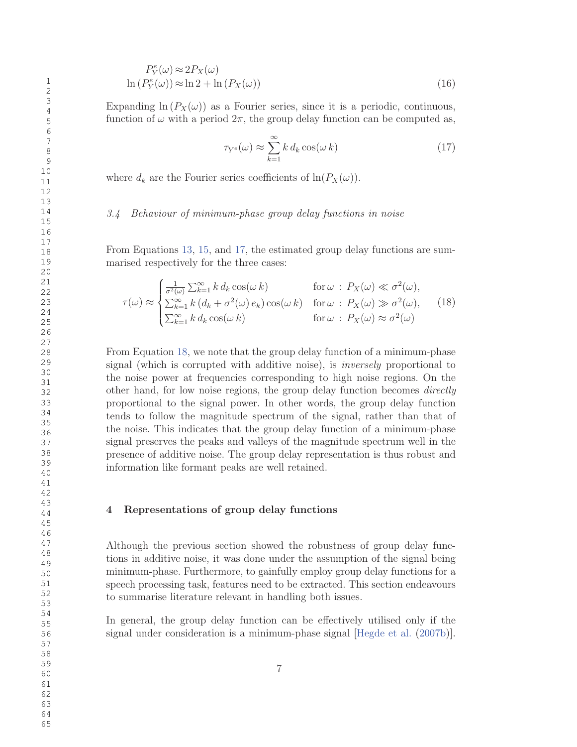$$
P_Y^e(\omega) \approx 2P_X(\omega)
$$
  
\n
$$
\ln \left( P_Y^e(\omega) \right) \approx \ln 2 + \ln \left( P_X(\omega) \right)
$$
\n(16)

Expanding  $\ln(P_X(\omega))$  as a Fourier series, since it is a periodic, continuous, function of  $\omega$  with a period  $2\pi$ , the group delay function can be computed as,

$$
\tau_{Y^e}(\omega) \approx \sum_{k=1}^{\infty} k \, d_k \cos(\omega \, k) \tag{17}
$$

where  $d_k$  are the Fourier series coefficients of  $\ln(P_X(\omega))$ .

#### 3.4 Behaviour of minimum-phase group delay functions in noise

From Equations 13, 15, and 17, the estimated group delay functions are summarised respectively for the three cases:

$$
\tau(\omega) \approx \begin{cases}\n\frac{1}{\sigma^2(\omega)} \sum_{k=1}^{\infty} k \, d_k \cos(\omega \, k) & \text{for } \omega : P_X(\omega) \ll \sigma^2(\omega), \\
\sum_{k=1}^{\infty} k \, (d_k + \sigma^2(\omega) \, e_k) \cos(\omega \, k) & \text{for } \omega : P_X(\omega) \gg \sigma^2(\omega), \\
\sum_{k=1}^{\infty} k \, d_k \cos(\omega \, k) & \text{for } \omega : P_X(\omega) \approx \sigma^2(\omega)\n\end{cases}
$$
\n(18)

From Equation 18, we note that the group delay function of a minimum-phase signal (which is corrupted with additive noise), is inversely proportional to the noise power at frequencies corresponding to high noise regions. On the other hand, for low noise regions, the group delay function becomes directly proportional to the signal power. In other words, the group delay function tends to follow the magnitude spectrum of the signal, rather than that of the noise. This indicates that the group delay function of a minimum-phase signal preserves the peaks and valleys of the magnitude spectrum well in the presence of additive noise. The group delay representation is thus robust and information like formant peaks are well retained.

### 4 Representations of group delay functions

Although the previous section showed the robustness of group delay functions in additive noise, it was done under the assumption of the signal being minimum-phase. Furthermore, to gainfully employ group delay functions for a speech processing task, features need to be extracted. This section endeavours to summarise literature relevant in handling both issues.

In general, the group delay function can be effectively utilised only if the signal under consideration is a minimum-phase signal [Hegde et al. (2007b)].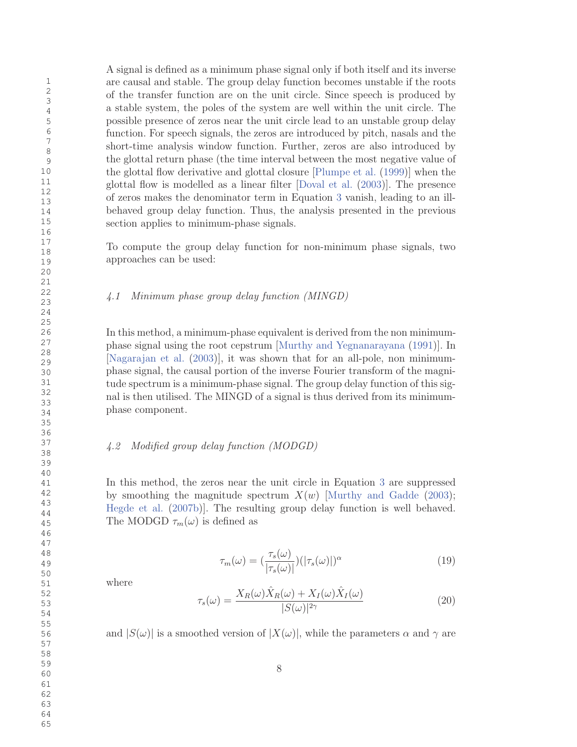A signal is defined as a minimum phase signal only if both itself and its inverse are causal and stable. The group delay function becomes unstable if the roots of the transfer function are on the unit circle. Since speech is produced by a stable system, the poles of the system are well within the unit circle. The possible presence of zeros near the unit circle lead to an unstable group delay function. For speech signals, the zeros are introduced by pitch, nasals and the short-time analysis window function. Further, zeros are also introduced by the glottal return phase (the time interval between the most negative value of the glottal flow derivative and glottal closure [Plumpe et al. (1999)] when the glottal flow is modelled as a linear filter [Doval et al. (2003)]. The presence of zeros makes the denominator term in Equation 3 vanish, leading to an illbehaved group delay function. Thus, the analysis presented in the previous section applies to minimum-phase signals.

To compute the group delay function for non-minimum phase signals, two approaches can be used:

# 4.1 Minimum phase group delay function (MINGD)

In this method, a minimum-phase equivalent is derived from the non minimumphase signal using the root cepstrum [Murthy and Yegnanarayana (1991)]. In [Nagarajan et al. (2003)], it was shown that for an all-pole, non minimumphase signal, the causal portion of the inverse Fourier transform of the magnitude spectrum is a minimum-phase signal. The group delay function of this signal is then utilised. The MINGD of a signal is thus derived from its minimumphase component.

# 4.2 Modified group delay function (MODGD)

In this method, the zeros near the unit circle in Equation 3 are suppressed by smoothing the magnitude spectrum  $X(w)$  [Murthy and Gadde (2003); Hegde et al. (2007b)]. The resulting group delay function is well behaved. The MODGD  $\tau_m(\omega)$  is defined as

$$
\tau_m(\omega) = \left(\frac{\tau_s(\omega)}{|\tau_s(\omega)|}\right) (|\tau_s(\omega)|)^{\alpha} \tag{19}
$$

where

$$
\tau_s(\omega) = \frac{X_R(\omega)\hat{X}_R(\omega) + X_I(\omega)\hat{X}_I(\omega)}{|S(\omega)|^{2\gamma}}
$$
(20)

and  $|S(\omega)|$  is a smoothed version of  $|X(\omega)|$ , while the parameters  $\alpha$  and  $\gamma$  are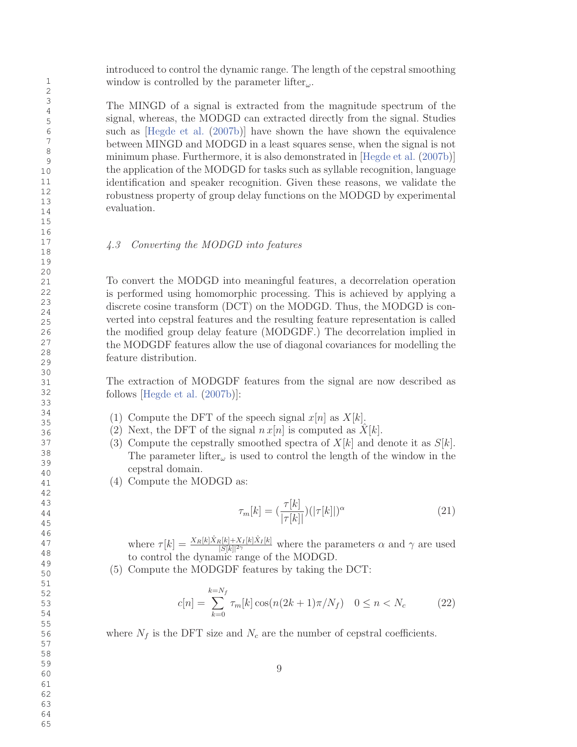introduced to control the dynamic range. The length of the cepstral smoothing window is controlled by the parameter lifter<sub> $\omega$ </sub>.

The MINGD of a signal is extracted from the magnitude spectrum of the signal, whereas, the MODGD can extracted directly from the signal. Studies such as [Hegde et al. (2007b)] have shown the have shown the equivalence between MINGD and MODGD in a least squares sense, when the signal is not minimum phase. Furthermore, it is also demonstrated in [Hegde et al. (2007b)] the application of the MODGD for tasks such as syllable recognition, language identification and speaker recognition. Given these reasons, we validate the robustness property of group delay functions on the MODGD by experimental evaluation.

### 4.3 Converting the MODGD into features

To convert the MODGD into meaningful features, a decorrelation operation is performed using homomorphic processing. This is achieved by applying a discrete cosine transform (DCT) on the MODGD. Thus, the MODGD is converted into cepstral features and the resulting feature representation is called the modified group delay feature (MODGDF.) The decorrelation implied in the MODGDF features allow the use of diagonal covariances for modelling the feature distribution.

The extraction of MODGDF features from the signal are now described as follows [Hegde et al. (2007b)]:

- (1) Compute the DFT of the speech signal  $x[n]$  as  $X[k]$ .
- (2) Next, the DFT of the signal  $n x[n]$  is computed as  $X[k]$ .
- (3) Compute the cepstrally smoothed spectra of  $X[k]$  and denote it as  $S[k]$ . The parameter lifter<sub> $\omega$ </sub> is used to control the length of the window in the cepstral domain.
- (4) Compute the MODGD as:

$$
\tau_m[k] = \left(\frac{\tau[k]}{|\tau[k]|}\right) \left(|\tau[k]|^{\alpha}\right) \tag{21}
$$

where  $\tau[k] = \frac{X_R[k]\hat{X}_R[k]+X_I[k]\hat{X}_I[k]}{|S[k]|2\gamma}$  $\frac{\mathbb{E}[k] + \lambda_I[k]\lambda_I[k]}{|S[k]|^{2\gamma}}$  where the parameters  $\alpha$  and  $\gamma$  are used to control the dynamic range of the MODGD.

(5) Compute the MODGDF features by taking the DCT:

$$
c[n] = \sum_{k=0}^{k=N_f} \tau_m[k] \cos(n(2k+1)\pi/N_f) \quad 0 \le n < N_c \tag{22}
$$

where  $N_f$  is the DFT size and  $N_c$  are the number of cepstral coefficients.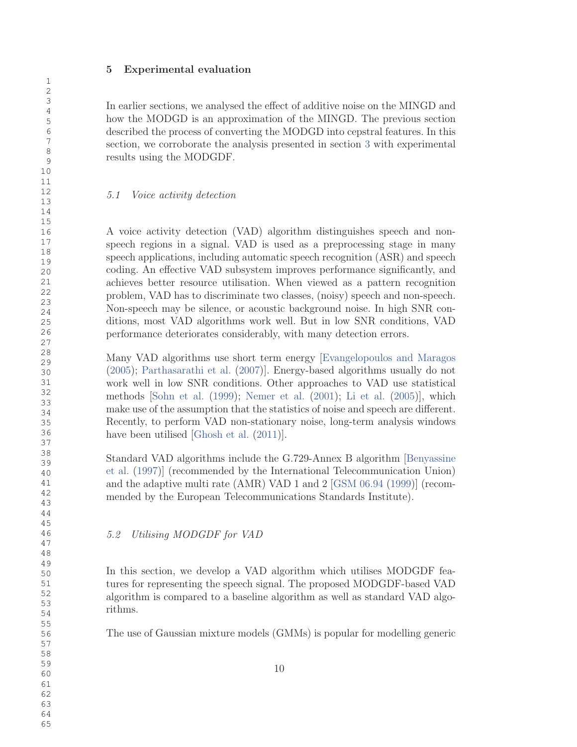### 5 Experimental evaluation

In earlier sections, we analysed the effect of additive noise on the MINGD and how the MODGD is an approximation of the MINGD. The previous section described the process of converting the MODGD into cepstral features. In this section, we corroborate the analysis presented in section 3 with experimental results using the MODGDF.

# 5.1 Voice activity detection

A voice activity detection (VAD) algorithm distinguishes speech and nonspeech regions in a signal. VAD is used as a preprocessing stage in many speech applications, including automatic speech recognition (ASR) and speech coding. An effective VAD subsystem improves performance significantly, and achieves better resource utilisation. When viewed as a pattern recognition problem, VAD has to discriminate two classes, (noisy) speech and non-speech. Non-speech may be silence, or acoustic background noise. In high SNR conditions, most VAD algorithms work well. But in low SNR conditions, VAD performance deteriorates considerably, with many detection errors.

Many VAD algorithms use short term energy [Evangelopoulos and Maragos (2005); Parthasarathi et al. (2007)]. Energy-based algorithms usually do not work well in low SNR conditions. Other approaches to VAD use statistical methods [Sohn et al. (1999); Nemer et al. (2001); Li et al. (2005)], which make use of the assumption that the statistics of noise and speech are different. Recently, to perform VAD non-stationary noise, long-term analysis windows have been utilised [Ghosh et al.  $(2011)$ ].

Standard VAD algorithms include the G.729-Annex B algorithm [Benyassine et al. (1997)] (recommended by the International Telecommunication Union) and the adaptive multi rate (AMR) VAD 1 and 2 [GSM 06.94 (1999)] (recommended by the European Telecommunications Standards Institute).

5.2 Utilising MODGDF for VAD

In this section, we develop a VAD algorithm which utilises MODGDF features for representing the speech signal. The proposed MODGDF-based VAD algorithm is compared to a baseline algorithm as well as standard VAD algorithms.

The use of Gaussian mixture models (GMMs) is popular for modelling generic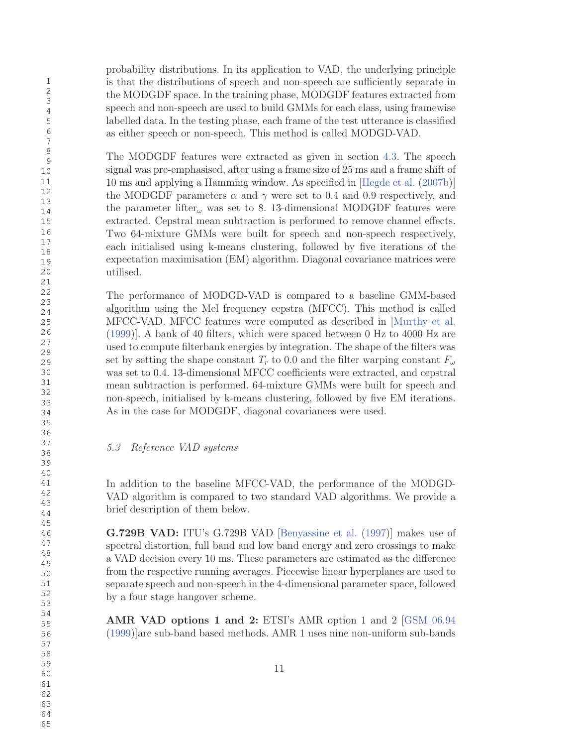probability distributions. In its application to VAD, the underlying principle is that the distributions of speech and non-speech are sufficiently separate in the MODGDF space. In the training phase, MODGDF features extracted from speech and non-speech are used to build GMMs for each class, using framewise labelled data. In the testing phase, each frame of the test utterance is classified as either speech or non-speech. This method is called MODGD-VAD.

The MODGDF features were extracted as given in section 4.3. The speech signal was pre-emphasised, after using a frame size of 25 ms and a frame shift of 10 ms and applying a Hamming window. As specified in [Hegde et al. (2007b)] the MODGDF parameters  $\alpha$  and  $\gamma$  were set to 0.4 and 0.9 respectively, and the parameter lifter<sub> $\omega$ </sub> was set to 8. 13-dimensional MODGDF features were extracted. Cepstral mean subtraction is performed to remove channel effects. Two 64-mixture GMMs were built for speech and non-speech respectively, each initialised using k-means clustering, followed by five iterations of the expectation maximisation (EM) algorithm. Diagonal covariance matrices were utilised.

The performance of MODGD-VAD is compared to a baseline GMM-based algorithm using the Mel frequency cepstra (MFCC). This method is called MFCC-VAD. MFCC features were computed as described in [Murthy et al. (1999)]. A bank of 40 filters, which were spaced between 0 Hz to 4000 Hz are used to compute filterbank energies by integration. The shape of the filters was set by setting the shape constant  $T_r$  to 0.0 and the filter warping constant  $F_\omega$ was set to 0.4. 13-dimensional MFCC coefficients were extracted, and cepstral mean subtraction is performed. 64-mixture GMMs were built for speech and non-speech, initialised by k-means clustering, followed by five EM iterations. As in the case for MODGDF, diagonal covariances were used.

# 5.3 Reference VAD systems

In addition to the baseline MFCC-VAD, the performance of the MODGD-VAD algorithm is compared to two standard VAD algorithms. We provide a brief description of them below.

G.729B VAD: ITU's G.729B VAD [Benyassine et al. (1997)] makes use of spectral distortion, full band and low band energy and zero crossings to make a VAD decision every 10 ms. These parameters are estimated as the difference from the respective running averages. Piecewise linear hyperplanes are used to separate speech and non-speech in the 4-dimensional parameter space, followed by a four stage hangover scheme.

AMR VAD options 1 and 2: ETSI's AMR option 1 and 2 [GSM 06.94 (1999)]are sub-band based methods. AMR 1 uses nine non-uniform sub-bands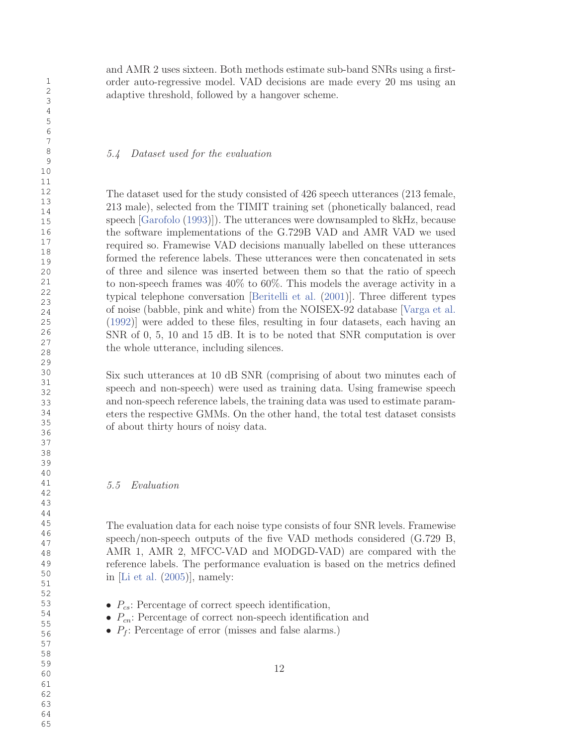and AMR 2 uses sixteen. Both methods estimate sub-band SNRs using a firstorder auto-regressive model. VAD decisions are made every 20 ms using an adaptive threshold, followed by a hangover scheme.

#### 5.4 Dataset used for the evaluation

The dataset used for the study consisted of 426 speech utterances (213 female, 213 male), selected from the TIMIT training set (phonetically balanced, read speech [Garofolo (1993)]). The utterances were downsampled to 8kHz, because the software implementations of the G.729B VAD and AMR VAD we used required so. Framewise VAD decisions manually labelled on these utterances formed the reference labels. These utterances were then concatenated in sets of three and silence was inserted between them so that the ratio of speech to non-speech frames was 40% to 60%. This models the average activity in a typical telephone conversation [Beritelli et al. (2001)]. Three different types of noise (babble, pink and white) from the NOISEX-92 database [Varga et al. (1992)] were added to these files, resulting in four datasets, each having an SNR of 0, 5, 10 and 15 dB. It is to be noted that SNR computation is over the whole utterance, including silences.

Six such utterances at 10 dB SNR (comprising of about two minutes each of speech and non-speech) were used as training data. Using framewise speech and non-speech reference labels, the training data was used to estimate parameters the respective GMMs. On the other hand, the total test dataset consists of about thirty hours of noisy data.

#### 5.5 Evaluation

The evaluation data for each noise type consists of four SNR levels. Framewise speech/non-speech outputs of the five VAD methods considered (G.729 B, AMR 1, AMR 2, MFCC-VAD and MODGD-VAD) are compared with the reference labels. The performance evaluation is based on the metrics defined in [Li et al. (2005)], namely:

- $P_{cs}$ : Percentage of correct speech identification,
- $P_{cn}$ : Percentage of correct non-speech identification and
- $P_f$ : Percentage of error (misses and false alarms.)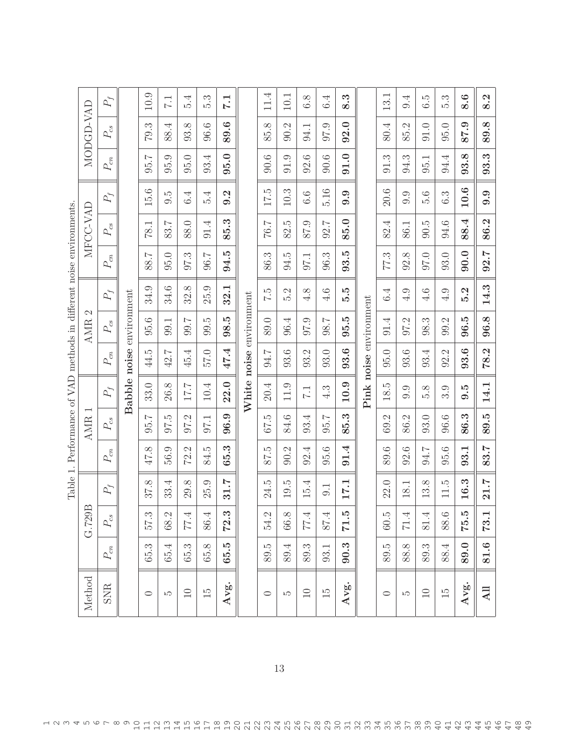| Method          |              | മ<br>G.729I |           | Table 1. Performance of VAD methods in different noise environments. | <b>AMR</b>   |                  |                          | N<br><b>AMR</b> |                     |             | MFCC-VAD |                  |                                    | MODGD-VAD            |                     |
|-----------------|--------------|-------------|-----------|----------------------------------------------------------------------|--------------|------------------|--------------------------|-----------------|---------------------|-------------|----------|------------------|------------------------------------|----------------------|---------------------|
| <b>SNR</b>      | $P_{\rm cn}$ | $P_{cs}$    | $P_{\!f}$ | $P_{\rm cn}$                                                         | $P_{\rm cs}$ | $P_{\!f}$        | $P_{cn}$                 | $P_{\rm cs}$    | $P_{\rm f}$         | $P_{cn}$    | $P_{cs}$ | $P_{\it f}$      | $P_{\scriptscriptstyle \mbox{cn}}$ | $P_{\rm cs}$         | $P_f$               |
|                 |              |             |           |                                                                      |              |                  | Babble noise environment |                 |                     |             |          |                  |                                    |                      |                     |
| $\circ$         | 65.3         | 573         | 37.8      | 47.8                                                                 | 95.7         | 33.0             | ŗÖ<br>44.                | 95.6            | 34.9                | 88.7        | 78.1     | 15.6             | 95.7                               | 79.3                 | 10.9                |
| LC.             | 65.4         | 68.2        | 33.4      | 56.9                                                                 | 6.76         | 26.8             | 42.7                     | <b>99.1</b>     | 34.6                | 95.0        | 83.7     | $9.\overline{5}$ | 95.9                               | 88.4                 | $\overline{7.1}$    |
| $\Box$          | 65.3         | 77.4        | 29.8      | Ċ,<br>Σ.                                                             | 97.2         | 17.7             | 45.4                     | 7.66            | 32.8                | 97.3        | 88.0     | 6.4              | 95.0                               | 93.8                 | 5.4                 |
| $\frac{15}{2}$  | 65.8         | 86.4        | 25.9      | 84.5                                                                 | 97.1         | 10.4             | 0.75                     | 9.5             | 25.9                | <b>96.7</b> | 91.4     | 5.4              | 93.4                               | 96.6                 | 5.3                 |
| Avg.            | 65.5         | 72.3        | 31.7      | 65.3                                                                 | 96.9         | 22.0             | 47.4                     | 98.5            | 32.1                | 94.5        | 85.3     | 9.2              | 95.0                               | 89.6                 | 1.7                 |
|                 |              |             |           |                                                                      |              |                  | White noise environment  |                 |                     |             |          |                  |                                    |                      |                     |
| $\circ$         | 89.5         | 54.2        | 24.5      | 87.5                                                                 | 675          | 20.4             | 5.76                     | 89.0            | ζ.7                 | 86.3        | 76.7     | 17.5             | 90.6                               | 85.8                 | 11.4                |
| LC.             | 89.4         | 66.8        | 19.5      | 90.2                                                                 | 84.6         | 11.9             | 93.6                     | 96.4            | $\mathcal{C}$<br>ນລ | 94.5        | 82.5     | 10.3             | 91.9                               | 90.2                 | 10.1                |
| $\Box$          | 89.3         | 77.4        | 15.4      | 92.4                                                                 | 93.4         | $\overline{7.1}$ | 93.2                     | 97.9            | 4.8                 | 97.1        | 87.9     | 6.6              | 92.6                               | 94.1                 | 6.8                 |
| $\overline{5}$  | 93.1         | 87.4        | 0.1       | 95.6                                                                 | 95.7         | 4.3              | 93.0                     | 7.80            | 4.6                 | 96.3        | 92.7     | 5.16             | 90.6                               | 97.9                 | 6.4                 |
| Avg.            | 90.3         | 71.5        | 17.1      | 91.4                                                                 | 85.3         | 10.9             | 93.6                     | JQ<br>95.       | 5.5                 | 93.5        | 85.0     | 0.9              | 91.0                               | 92.0                 | 8.3                 |
|                 |              |             |           |                                                                      |              |                  | Pink noise environment   |                 |                     |             |          |                  |                                    |                      |                     |
| $\circ$         | 89.5         | 60.5        | 22.0      | 89.6                                                                 | 69.2         | 18.5             | 95.0                     | 91.4            | 6.4                 | 77.3        | 82.4     | 20.6             | 91.3                               | 80.4                 | 13.1                |
| LQ              | 88.8         | 71.4        | 18.1      | 92.6                                                                 | 86.2         | 9.9              | 93.6                     | 97.2            | 4.9                 | 92.8        | 86.1     | 9.9              | 94.3                               | $\mathcal{C}$<br>85. | 9.4                 |
| $\Box$          | 89.3         | 81.4        | 13.8      | 7.16                                                                 | 93.0         | 5.8              | 93.4                     | 98.3            | 4.6                 | 0.70        | 90.5     | 5.6              | 95.1                               | 0.10                 | IJ<br>$\dot{\circ}$ |
| $\overline{5}$  | 88.4         | 88.6        | 11.5      | 95.6                                                                 | 96.6         | 3.9              | 92.2                     | 99.2            | 4.9                 | 93.0        | 94.6     | 6.3              | 94.4                               | 95.0                 | 5.3                 |
| Avg.            | 89.0         | 75.5        | 16.3      | 93.1                                                                 | 86.3         | 9.5              | 93.6                     | 96.5            | 5.2                 | 90.0        | 88.4     | 10.6             | 93.8                               | 87.9                 | 8.6                 |
| $\overline{AB}$ | 81.6         | 73.1        | 21.7      | 83.7                                                                 | 89.5         | 14.1             | 78.2                     | 96.8            | 14.3                | 92.7        | 86.2     | 9.9              | 93.3                               | 89.8                 | 8.2                 |

ー<br>20 フリー コーローコーローコーコーコーコーコーコーコーコーコーコーローコーローコードサービーターコーコードサービーラーション・コーヒーローコーコードのターコーコードをつけている。<br>1)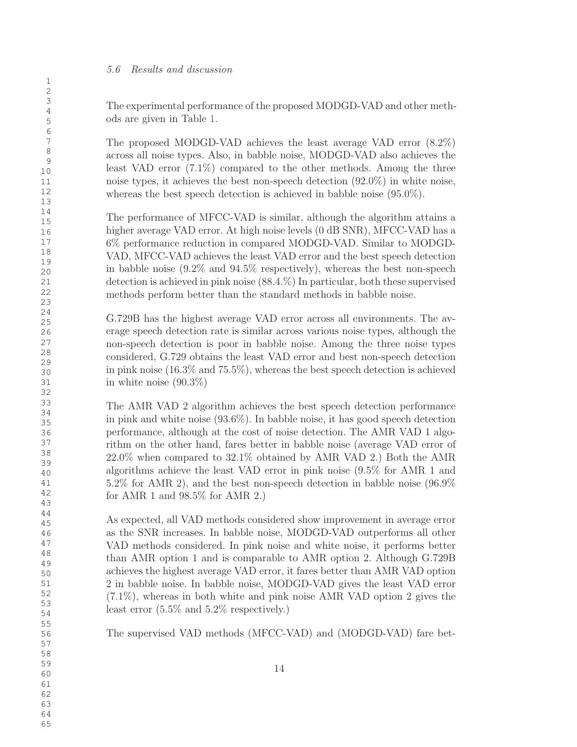#### 5.6 Results and discussion

The experimental performance of the proposed MODGD-VAD and other methods are given in Table 1.

The proposed MODGD-VAD achieves the least average VAD error (8.2%) across all noise types. Also, in babble noise, MODGD-VAD also achieves the least VAD error (7.1%) compared to the other methods. Among the three noise types, it achieves the best non-speech detection (92.0%) in white noise, whereas the best speech detection is achieved in babble noise (95.0%).

The performance of MFCC-VAD is similar, although the algorithm attains a higher average VAD error. At high noise levels (0 dB SNR), MFCC-VAD has a 6% performance reduction in compared MODGD-VAD. Similar to MODGD-VAD, MFCC-VAD achieves the least VAD error and the best speech detection in babble noise (9.2% and 94.5% respectively), whereas the best non-speech detection is achieved in pink noise (88.4.%) In particular, both these supervised methods perform better than the standard methods in babble noise.

G.729B has the highest average VAD error across all environments. The average speech detection rate is similar across various noise types, although the non-speech detection is poor in babble noise. Among the three noise types considered, G.729 obtains the least VAD error and best non-speech detection in pink noise (16.3% and 75.5%), whereas the best speech detection is achieved in white noise (90.3%)

The AMR VAD 2 algorithm achieves the best speech detection performance in pink and white noise (93.6%). In babble noise, it has good speech detection performance, although at the cost of noise detection. The AMR VAD 1 algorithm on the other hand, fares better in babble noise (average VAD error of 22.0% when compared to 32.1% obtained by AMR VAD 2.) Both the AMR algorithms achieve the least VAD error in pink noise (9.5% for AMR 1 and 5.2% for AMR 2), and the best non-speech detection in babble noise (96.9% for AMR 1 and 98.5% for AMR 2.)

As expected, all VAD methods considered show improvement in average error as the SNR increases. In babble noise, MODGD-VAD outperforms all other VAD methods considered. In pink noise and white noise, it performs better than AMR option 1 and is comparable to AMR option 2. Although G.729B achieves the highest average VAD error, it fares better than AMR VAD option 2 in babble noise. In babble noise, MODGD-VAD gives the least VAD error (7.1%), whereas in both white and pink noise AMR VAD option 2 gives the least error (5.5% and 5.2% respectively.)

The supervised VAD methods (MFCC-VAD) and (MODGD-VAD) fare bet-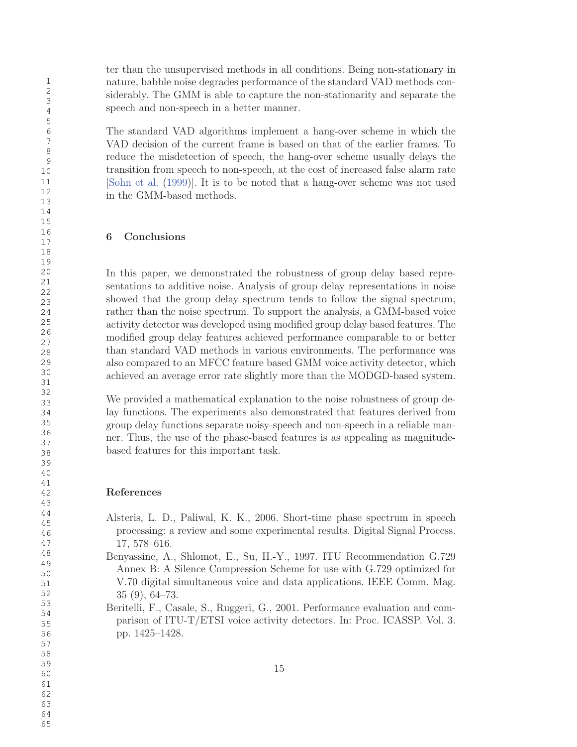ter than the unsupervised methods in all conditions. Being non-stationary in nature, babble noise degrades performance of the standard VAD methods considerably. The GMM is able to capture the non-stationarity and separate the speech and non-speech in a better manner.

The standard VAD algorithms implement a hang-over scheme in which the VAD decision of the current frame is based on that of the earlier frames. To reduce the misdetection of speech, the hang-over scheme usually delays the transition from speech to non-speech, at the cost of increased false alarm rate [Sohn et al. (1999)]. It is to be noted that a hang-over scheme was not used in the GMM-based methods.

# 6 Conclusions

In this paper, we demonstrated the robustness of group delay based representations to additive noise. Analysis of group delay representations in noise showed that the group delay spectrum tends to follow the signal spectrum, rather than the noise spectrum. To support the analysis, a GMM-based voice activity detector was developed using modified group delay based features. The modified group delay features achieved performance comparable to or better than standard VAD methods in various environments. The performance was also compared to an MFCC feature based GMM voice activity detector, which achieved an average error rate slightly more than the MODGD-based system.

We provided a mathematical explanation to the noise robustness of group delay functions. The experiments also demonstrated that features derived from group delay functions separate noisy-speech and non-speech in a reliable manner. Thus, the use of the phase-based features is as appealing as magnitudebased features for this important task.

### References

- Alsteris, L. D., Paliwal, K. K., 2006. Short-time phase spectrum in speech processing: a review and some experimental results. Digital Signal Process. 17, 578–616.
- Benyassine, A., Shlomot, E., Su, H.-Y., 1997. ITU Recommendation G.729 Annex B: A Silence Compression Scheme for use with G.729 optimized for V.70 digital simultaneous voice and data applications. IEEE Comm. Mag. 35 (9), 64–73.
- Beritelli, F., Casale, S., Ruggeri, G., 2001. Performance evaluation and comparison of ITU-T/ETSI voice activity detectors. In: Proc. ICASSP. Vol. 3. pp. 1425–1428.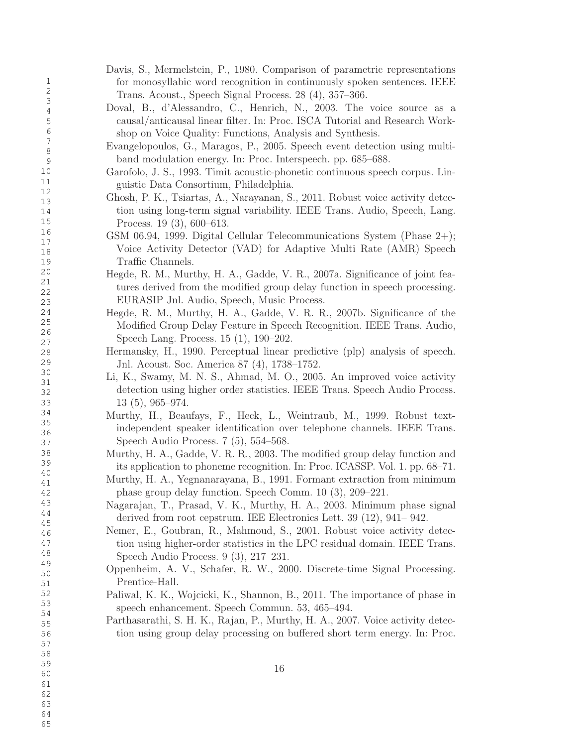Davis, S., Mermelstein, P., 1980. Comparison of parametric representations for monosyllabic word recognition in continuously spoken sentences. IEEE Trans. Acoust., Speech Signal Process. 28 (4), 357–366. Doval, B., d'Alessandro, C., Henrich, N., 2003. The voice source as a causal/anticausal linear filter. In: Proc. ISCA Tutorial and Research Workshop on Voice Quality: Functions, Analysis and Synthesis. Evangelopoulos, G., Maragos, P., 2005. Speech event detection using multiband modulation energy. In: Proc. Interspeech. pp. 685–688. Garofolo, J. S., 1993. Timit acoustic-phonetic continuous speech corpus. Linguistic Data Consortium, Philadelphia. Ghosh, P. K., Tsiartas, A., Narayanan, S., 2011. Robust voice activity detection using long-term signal variability. IEEE Trans. Audio, Speech, Lang. Process. 19 (3), 600–613. GSM 06.94, 1999. Digital Cellular Telecommunications System (Phase 2+); Voice Activity Detector (VAD) for Adaptive Multi Rate (AMR) Speech Traffic Channels. Hegde, R. M., Murthy, H. A., Gadde, V. R., 2007a. Significance of joint features derived from the modified group delay function in speech processing. EURASIP Jnl. Audio, Speech, Music Process. Hegde, R. M., Murthy, H. A., Gadde, V. R. R., 2007b. Significance of the Modified Group Delay Feature in Speech Recognition. IEEE Trans. Audio, Speech Lang. Process. 15 (1), 190–202. Hermansky, H., 1990. Perceptual linear predictive (plp) analysis of speech. Jnl. Acoust. Soc. America 87 (4), 1738–1752. Li, K., Swamy, M. N. S., Ahmad, M. O., 2005. An improved voice activity detection using higher order statistics. IEEE Trans. Speech Audio Process. 13 (5), 965–974. Murthy, H., Beaufays, F., Heck, L., Weintraub, M., 1999. Robust textindependent speaker identification over telephone channels. IEEE Trans. Speech Audio Process. 7 (5), 554–568. Murthy, H. A., Gadde, V. R. R., 2003. The modified group delay function and its application to phoneme recognition. In: Proc. ICASSP. Vol. 1. pp. 68–71. Murthy, H. A., Yegnanarayana, B., 1991. Formant extraction from minimum phase group delay function. Speech Comm. 10 (3), 209–221. Nagarajan, T., Prasad, V. K., Murthy, H. A., 2003. Minimum phase signal derived from root cepstrum. IEE Electronics Lett. 39 (12), 941– 942. Nemer, E., Goubran, R., Mahmoud, S., 2001. Robust voice activity detection using higher-order statistics in the LPC residual domain. IEEE Trans. Speech Audio Process. 9 (3), 217–231. Oppenheim, A. V., Schafer, R. W., 2000. Discrete-time Signal Processing. Prentice-Hall. Paliwal, K. K., Wojcicki, K., Shannon, B., 2011. The importance of phase in speech enhancement. Speech Commun. 53, 465–494. Parthasarathi, S. H. K., Rajan, P., Murthy, H. A., 2007. Voice activity detection using group delay processing on buffered short term energy. In: Proc. 16

> 64 65